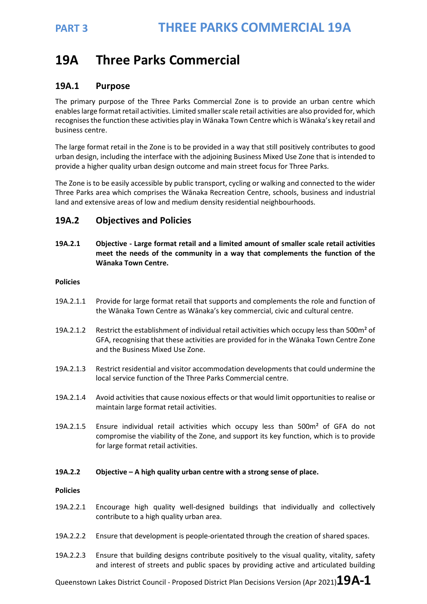# **19A Three Parks Commercial**

## **19A.1 Purpose**

The primary purpose of the Three Parks Commercial Zone is to provide an urban centre which enables large format retail activities. Limited smaller scale retail activities are also provided for, which recognises the function these activities play in Wānaka Town Centre which is Wānaka's key retail and business centre.

The large format retail in the Zone is to be provided in a way that still positively contributes to good urban design, including the interface with the adjoining Business Mixed Use Zone that is intended to provide a higher quality urban design outcome and main street focus for Three Parks.

The Zone is to be easily accessible by public transport, cycling or walking and connected to the wider Three Parks area which comprises the Wānaka Recreation Centre, schools, business and industrial land and extensive areas of low and medium density residential neighbourhoods.

## **19A.2 Objectives and Policies**

**19A.2.1 Objective - Large format retail and a limited amount of smaller scale retail activities meet the needs of the community in a way that complements the function of the Wānaka Town Centre.** 

### **Policies**

- 19A.2.1.1 Provide for large format retail that supports and complements the role and function of the Wānaka Town Centre as Wānaka's key commercial, civic and cultural centre.
- 19A.2.1.2 Restrict the establishment of individual retail activities which occupy less than 500m<sup>2</sup> of GFA, recognising that these activities are provided for in the Wānaka Town Centre Zone and the Business Mixed Use Zone.
- 19A.2.1.3 Restrict residential and visitor accommodation developments that could undermine the local service function of the Three Parks Commercial centre.
- 19A.2.1.4 Avoid activities that cause noxious effects or that would limit opportunities to realise or maintain large format retail activities.
- 19A.2.1.5 Ensure individual retail activities which occupy less than 500m² of GFA do not compromise the viability of the Zone, and support its key function, which is to provide for large format retail activities.

#### **19A.2.2 Objective – A high quality urban centre with a strong sense of place.**

#### **Policies**

- 19A.2.2.1 Encourage high quality well-designed buildings that individually and collectively contribute to a high quality urban area.
- 19A.2.2.2 Ensure that development is people-orientated through the creation of shared spaces.
- 19A.2.2.3 Ensure that building designs contribute positively to the visual quality, vitality, safety and interest of streets and public spaces by providing active and articulated building

Queenstown Lakes District Council - Proposed District Plan Decisions Version (Apr 2021)**19A-1**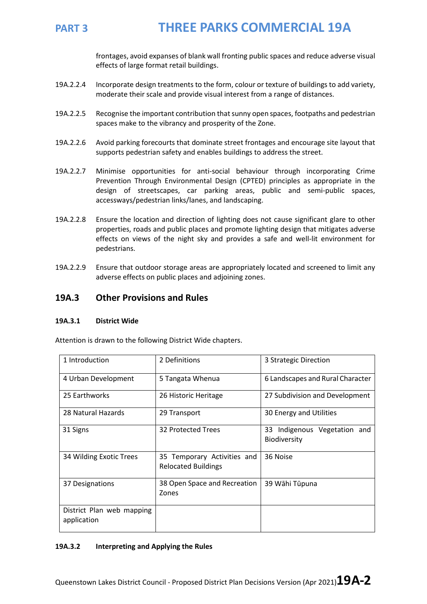

frontages, avoid expanses of blank wall fronting public spaces and reduce adverse visual effects of large format retail buildings.

- 19A.2.2.4 Incorporate design treatments to the form, colour or texture of buildings to add variety, moderate their scale and provide visual interest from a range of distances.
- 19A.2.2.5 Recognise the important contribution that sunny open spaces, footpaths and pedestrian spaces make to the vibrancy and prosperity of the Zone.
- 19A.2.2.6 Avoid parking forecourts that dominate street frontages and encourage site layout that supports pedestrian safety and enables buildings to address the street.
- 19A.2.2.7 Minimise opportunities for anti-social behaviour through incorporating Crime Prevention Through Environmental Design (CPTED) principles as appropriate in the design of streetscapes, car parking areas, public and semi-public spaces, accessways/pedestrian links/lanes, and landscaping.
- 19A.2.2.8 Ensure the location and direction of lighting does not cause significant glare to other properties, roads and public places and promote lighting design that mitigates adverse effects on views of the night sky and provides a safe and well-lit environment for pedestrians.
- 19A.2.2.9 Ensure that outdoor storage areas are appropriately located and screened to limit any adverse effects on public places and adjoining zones.

## **19A.3 Other Provisions and Rules**

#### **19A.3.1 District Wide**

Attention is drawn to the following District Wide chapters.

| 1 Introduction                           | 2 Definitions                                             | 3 Strategic Direction                        |
|------------------------------------------|-----------------------------------------------------------|----------------------------------------------|
| 4 Urban Development                      | 5 Tangata Whenua                                          | 6 Landscapes and Rural Character             |
| 25 Earthworks                            | 26 Historic Heritage                                      | 27 Subdivision and Development               |
| 28 Natural Hazards                       | 29 Transport                                              | 30 Energy and Utilities                      |
| 31 Signs                                 | 32 Protected Trees                                        | 33 Indigenous Vegetation and<br>Biodiversity |
| 34 Wilding Exotic Trees                  | 35 Temporary Activities and<br><b>Relocated Buildings</b> | 36 Noise                                     |
| 37 Designations                          | 38 Open Space and Recreation<br>Zones                     | 39 Wāhi Tūpuna                               |
| District Plan web mapping<br>application |                                                           |                                              |

### **19A.3.2 Interpreting and Applying the Rules**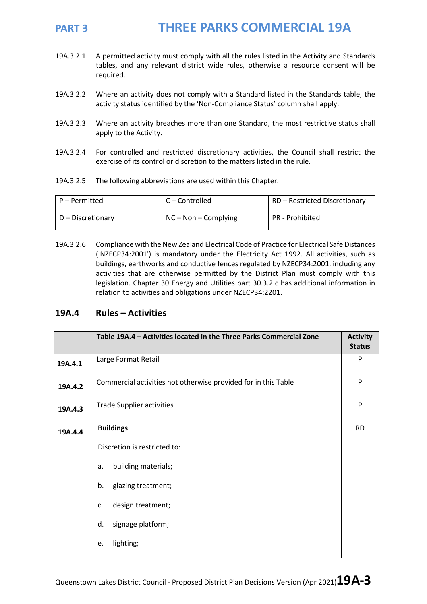- 19A.3.2.1 A permitted activity must comply with all the rules listed in the Activity and Standards tables, and any relevant district wide rules, otherwise a resource consent will be required.
- 19A.3.2.2 Where an activity does not comply with a Standard listed in the Standards table, the activity status identified by the 'Non-Compliance Status' column shall apply.
- 19A.3.2.3 Where an activity breaches more than one Standard, the most restrictive status shall apply to the Activity.
- 19A.3.2.4 For controlled and restricted discretionary activities, the Council shall restrict the exercise of its control or discretion to the matters listed in the rule.
- 19A.3.2.5 The following abbreviations are used within this Chapter.

| P – Permitted     | C – Controlled         | RD – Restricted Discretionary |
|-------------------|------------------------|-------------------------------|
| D – Discretionary | $NC - Non - Complying$ | <b>PR</b> - Prohibited        |

19A.3.2.6 Compliance with the New Zealand Electrical Code of Practice for Electrical Safe Distances ('NZECP34:2001') is mandatory under the Electricity Act 1992. All activities, such as buildings, earthworks and conductive fences regulated by NZECP34:2001, including any activities that are otherwise permitted by the District Plan must comply with this legislation. Chapter 30 Energy and Utilities part 30.3.2.c has additional information in relation to activities and obligations under NZECP34:2201.

### **19A.4 Rules – Activities**

|         | Table 19A.4 - Activities located in the Three Parks Commercial Zone |           |  |  |
|---------|---------------------------------------------------------------------|-----------|--|--|
| 19A.4.1 | Large Format Retail                                                 |           |  |  |
| 19A.4.2 | Commercial activities not otherwise provided for in this Table      |           |  |  |
| 19A.4.3 | <b>Trade Supplier activities</b>                                    |           |  |  |
| 19A.4.4 | <b>Buildings</b>                                                    | <b>RD</b> |  |  |
|         | Discretion is restricted to:                                        |           |  |  |
|         | building materials;<br>a.                                           |           |  |  |
|         | glazing treatment;<br>b.                                            |           |  |  |
|         | design treatment;<br>$\mathsf{C}$ .                                 |           |  |  |
|         | signage platform;<br>d.                                             |           |  |  |
|         | lighting;<br>e.                                                     |           |  |  |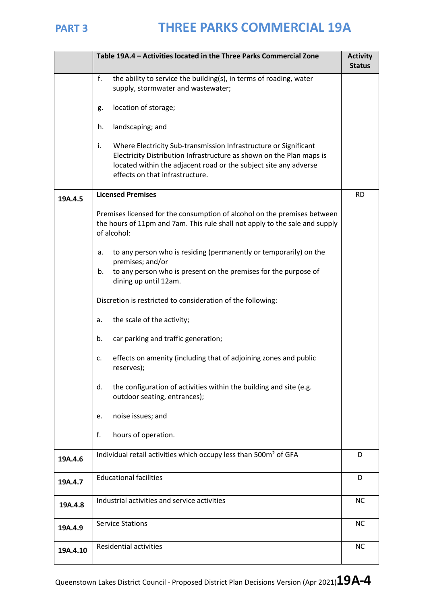|          | Table 19A.4 - Activities located in the Three Parks Commercial Zone                                                                                                                                                                                   |           |  |
|----------|-------------------------------------------------------------------------------------------------------------------------------------------------------------------------------------------------------------------------------------------------------|-----------|--|
|          | f.<br>the ability to service the building(s), in terms of roading, water<br>supply, stormwater and wastewater;                                                                                                                                        |           |  |
|          | location of storage;<br>g.                                                                                                                                                                                                                            |           |  |
|          | landscaping; and<br>h.                                                                                                                                                                                                                                |           |  |
|          | Where Electricity Sub-transmission Infrastructure or Significant<br>i.<br>Electricity Distribution Infrastructure as shown on the Plan maps is<br>located within the adjacent road or the subject site any adverse<br>effects on that infrastructure. |           |  |
| 19A.4.5  | <b>Licensed Premises</b>                                                                                                                                                                                                                              |           |  |
|          | Premises licensed for the consumption of alcohol on the premises between<br>the hours of 11pm and 7am. This rule shall not apply to the sale and supply<br>of alcohol:                                                                                |           |  |
|          | to any person who is residing (permanently or temporarily) on the<br>а.<br>premises; and/or                                                                                                                                                           |           |  |
|          | to any person who is present on the premises for the purpose of<br>b.<br>dining up until 12am.                                                                                                                                                        |           |  |
|          | Discretion is restricted to consideration of the following:                                                                                                                                                                                           |           |  |
|          | the scale of the activity;<br>a.                                                                                                                                                                                                                      |           |  |
|          | car parking and traffic generation;<br>b.                                                                                                                                                                                                             |           |  |
|          | effects on amenity (including that of adjoining zones and public<br>c.<br>reserves);                                                                                                                                                                  |           |  |
|          | the configuration of activities within the building and site (e.g.<br>d.<br>outdoor seating, entrances);                                                                                                                                              |           |  |
|          | noise issues; and<br>e.                                                                                                                                                                                                                               |           |  |
|          | f.<br>hours of operation.                                                                                                                                                                                                                             |           |  |
| 19A.4.6  | Individual retail activities which occupy less than 500m <sup>2</sup> of GFA                                                                                                                                                                          | D         |  |
| 19A.4.7  | <b>Educational facilities</b>                                                                                                                                                                                                                         | D         |  |
| 19A.4.8  | Industrial activities and service activities                                                                                                                                                                                                          | <b>NC</b> |  |
| 19A.4.9  | <b>Service Stations</b>                                                                                                                                                                                                                               | <b>NC</b> |  |
| 19A.4.10 | <b>Residential activities</b>                                                                                                                                                                                                                         | <b>NC</b> |  |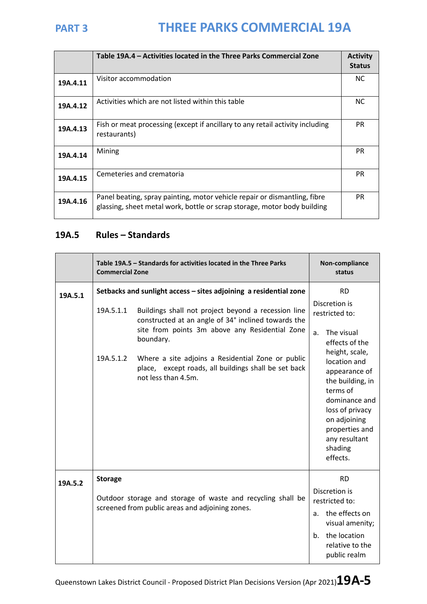|          | Table 19A.4 – Activities located in the Three Parks Commercial Zone                                                                                   | <b>Activity</b><br><b>Status</b> |
|----------|-------------------------------------------------------------------------------------------------------------------------------------------------------|----------------------------------|
| 19A.4.11 | Visitor accommodation                                                                                                                                 | NC.                              |
| 19A.4.12 | Activities which are not listed within this table                                                                                                     | NC.                              |
| 19A.4.13 | Fish or meat processing (except if ancillary to any retail activity including<br>restaurants)                                                         | <b>PR</b>                        |
| 19A.4.14 | Mining                                                                                                                                                | <b>PR</b>                        |
| 19A.4.15 | Cemeteries and crematoria                                                                                                                             | <b>PR</b>                        |
| 19A.4.16 | Panel beating, spray painting, motor vehicle repair or dismantling, fibre<br>glassing, sheet metal work, bottle or scrap storage, motor body building | <b>PR</b>                        |

## **19A.5 Rules – Standards**

|         | Table 19A.5 - Standards for activities located in the Three Parks<br><b>Commercial Zone</b>                                                                                            |                                                                                                                                  |                                                                       | Non-compliance<br>status                                                                                                                                                                      |  |
|---------|----------------------------------------------------------------------------------------------------------------------------------------------------------------------------------------|----------------------------------------------------------------------------------------------------------------------------------|-----------------------------------------------------------------------|-----------------------------------------------------------------------------------------------------------------------------------------------------------------------------------------------|--|
| 19A.5.1 | Setbacks and sunlight access - sites adjoining a residential zone                                                                                                                      |                                                                                                                                  |                                                                       | <b>RD</b>                                                                                                                                                                                     |  |
|         | 19A.5.1.1<br>Buildings shall not project beyond a recession line<br>constructed at an angle of 34° inclined towards the<br>site from points 3m above any Residential Zone<br>boundary. |                                                                                                                                  | Discretion is<br>restricted to:<br>The visual<br>a.<br>effects of the |                                                                                                                                                                                               |  |
|         | 19A.5.1.2                                                                                                                                                                              | Where a site adjoins a Residential Zone or public<br>place, except roads, all buildings shall be set back<br>not less than 4.5m. |                                                                       | height, scale,<br>location and<br>appearance of<br>the building, in<br>terms of<br>dominance and<br>loss of privacy<br>on adjoining<br>properties and<br>any resultant<br>shading<br>effects. |  |
| 19A.5.2 | <b>Storage</b>                                                                                                                                                                         |                                                                                                                                  |                                                                       | <b>RD</b>                                                                                                                                                                                     |  |
|         |                                                                                                                                                                                        | Outdoor storage and storage of waste and recycling shall be<br>screened from public areas and adjoining zones.                   |                                                                       | Discretion is<br>restricted to:                                                                                                                                                               |  |
|         |                                                                                                                                                                                        |                                                                                                                                  |                                                                       | a. the effects on<br>visual amenity;                                                                                                                                                          |  |
|         |                                                                                                                                                                                        |                                                                                                                                  | b <sub>1</sub>                                                        | the location<br>relative to the<br>public realm                                                                                                                                               |  |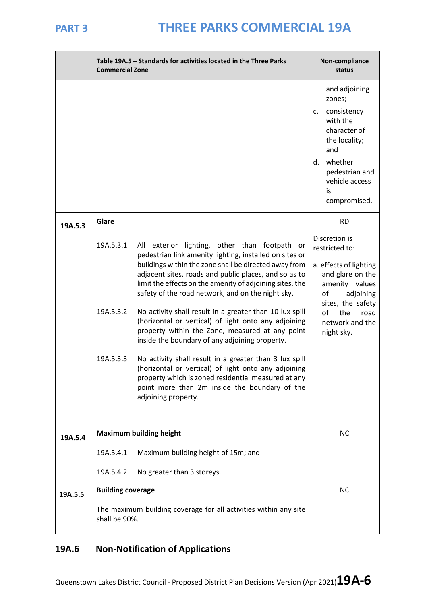|         | Table 19A.5 - Standards for activities located in the Three Parks<br><b>Commercial Zone</b>                   | Non-compliance<br>status                                                                                                                                                                                                                                                                                                                                                                                  |                                                                                                                                                                             |
|---------|---------------------------------------------------------------------------------------------------------------|-----------------------------------------------------------------------------------------------------------------------------------------------------------------------------------------------------------------------------------------------------------------------------------------------------------------------------------------------------------------------------------------------------------|-----------------------------------------------------------------------------------------------------------------------------------------------------------------------------|
|         |                                                                                                               |                                                                                                                                                                                                                                                                                                                                                                                                           | and adjoining<br>zones;<br>consistency<br>c.<br>with the<br>character of<br>the locality;<br>and<br>whether<br>d.<br>pedestrian and<br>vehicle access<br>is<br>compromised. |
| 19A.5.3 | Glare                                                                                                         |                                                                                                                                                                                                                                                                                                                                                                                                           | <b>RD</b>                                                                                                                                                                   |
|         | 19A.5.3.1<br>19A.5.3.2                                                                                        | exterior lighting, other than footpath or<br>All<br>pedestrian link amenity lighting, installed on sites or<br>buildings within the zone shall be directed away from<br>adjacent sites, roads and public places, and so as to<br>limit the effects on the amenity of adjoining sites, the<br>safety of the road network, and on the night sky.<br>No activity shall result in a greater than 10 lux spill | Discretion is<br>restricted to:<br>a. effects of lighting<br>and glare on the<br>amenity values<br>of<br>adjoining<br>sites, the safety<br>of<br>the<br>road                |
|         |                                                                                                               | (horizontal or vertical) of light onto any adjoining<br>property within the Zone, measured at any point<br>inside the boundary of any adjoining property.                                                                                                                                                                                                                                                 | network and the<br>night sky.                                                                                                                                               |
|         | 19A.5.3.3                                                                                                     | No activity shall result in a greater than 3 lux spill<br>(horizontal or vertical) of light onto any adjoining<br>property which is zoned residential measured at any<br>point more than 2m inside the boundary of the<br>adjoining property.                                                                                                                                                             |                                                                                                                                                                             |
| 19A.5.4 | <b>Maximum building height</b>                                                                                | <b>NC</b>                                                                                                                                                                                                                                                                                                                                                                                                 |                                                                                                                                                                             |
|         | 19A.5.4.1                                                                                                     | Maximum building height of 15m; and                                                                                                                                                                                                                                                                                                                                                                       |                                                                                                                                                                             |
|         | 19A.5.4.2                                                                                                     | No greater than 3 storeys.                                                                                                                                                                                                                                                                                                                                                                                |                                                                                                                                                                             |
| 19A.5.5 | <b>Building coverage</b><br>The maximum building coverage for all activities within any site<br>shall be 90%. |                                                                                                                                                                                                                                                                                                                                                                                                           | <b>NC</b>                                                                                                                                                                   |

## **19A.6 Non-Notification of Applications**